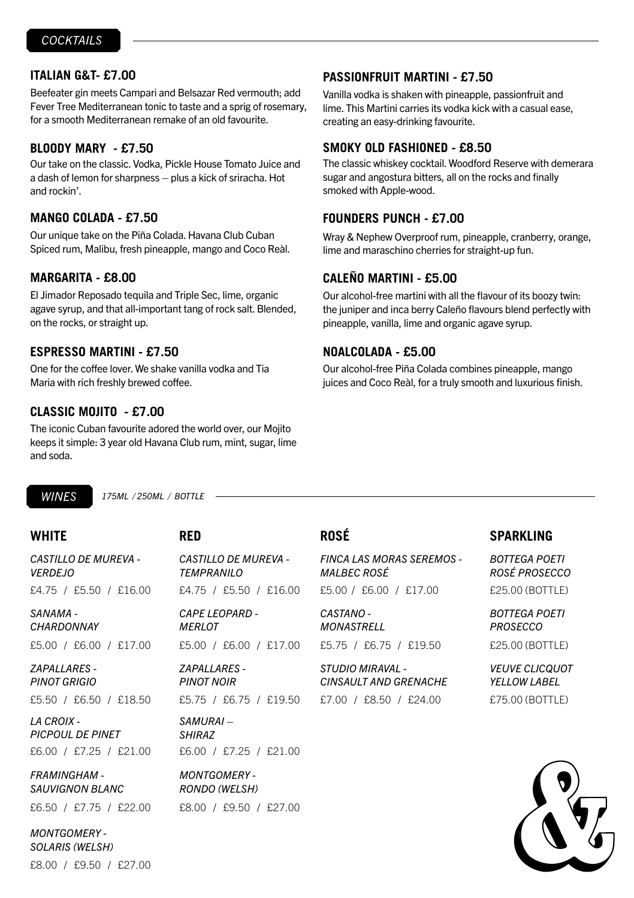## **ITALIAN G&T- £7.00**

Beefeater gin meets Campari and Belsazar Red vermouth; add Fever Tree Mediterranean tonic to taste and a sprig of rosemary, for a smooth Mediterranean remake of an old favourite.

### **BLOODY MARY - £7.50**

Our take on the classic. Vodka, Pickle House Tomato Juice and a dash of lemon for sharpness – plus a kick of sriracha. Hot and rockin'.

### **MANGO COLADA - £7.50**

Our unique take on the Piña Colada. Havana Club Cuban Spiced rum, Malibu, fresh pineapple, mango and Coco Reàl.

## **MARGARITA - £8.00**

El Jimador Reposado tequila and Triple Sec, lime, organic agave syrup, and that all-important tang of rock salt. Blended, on the rocks, or straight up.

### **ESPRESSO MARTINI - £7.50**

One for the coffee lover. We shake vanilla vodka and Tia Maria with rich freshly brewed coffee.

## **CLASSIC MOJITO - £7.00**

The iconic Cuban favourite adored the world over, our Mojito keeps it simple: 3 year old Havana Club rum, mint, sugar, lime and soda.

## **PASSIONFRUIT MARTINI - £7.50**

Vanilla vodka is shaken with pineapple, passionfruit and lime. This Martini carries its vodka kick with a casual ease, creating an easy-drinking favourite.

### **SMOKY OLD FASHIONED - £8.50**

The classic whiskey cocktail. Woodford Reserve with demerara sugar and angostura bitters, all on the rocks and finally smoked with Apple-wood.

## **FOUNDERS PUNCH - £7.00**

Wray & Nephew Overproof rum, pineapple, cranberry, orange, lime and maraschino cherries for straight-up fun.

## **CALEÑO MARTINI - £5.00**

Our alcohol-free martini with all the flavour of its boozy twin: the juniper and inca berry Caleño flavours blend perfectly with pineapple, vanilla, lime and organic agave syrup.

## **NOALCOLADA - £5.00**

Our alcohol-free Piña Colada combines pineapple, mango juices and Coco Reàl, for a truly smooth and luxurious finish.

**WINES** 

*175ML / 250ML / BOTTLE*

*CASTILLO DE MUREVA - VERDEJO*  £4.75 / £5.50 / £16.00

*SANAMA - CHARDONNAY*

£5.00 / £6.00 / £17.00

*ZAPALLARES - PINOT GRIGIO* £5.50 / £6.50 / £18.50

*LA CROIX - PICPOUL DE PINET*

£6.00 / £7.25 / £21.00

*FRAMINGHAM - SAUVIGNON BLANC*

£6.50 / £7.75 / £22.00

*MONTGOMERY - SOLARIS (WELSH)*

*CASTILLO DE MUREVA - TEMPRANILO* £4.75 / £5.50 / £16.00

*CAPE LEOPARD - MERLOT*

*ZAPALLARES - PINOT NOIR*

*SAMURAI – SHIRAZ*

*MONTGOMERY - RONDO (WELSH)* £8.00 / £9.50 / £27.00

*FINCA LAS MORAS SEREMOS - MALBEC ROSÉ* £5.00 / £6.00 / £17.00

*MONASTRELL*

*STUDIO MIRAVAL - CINSAULT AND GRENACHE* £7.00 / £8.50 / £24.00

# **WHITE RED ROSÉ SPARKLING**

*BOTTEGA POETI ROSÉ PROSECCO* £25.00 (BOTTLE)

*BOTTEGA POETI PROSECCO*

£25.00 (BOTTLE)

*VEUVE CLICQUOT YELLOW LABEL* £75.00 (BOTTLE)



£8.00 / £9.50 / £27.00

£5.00 / £6.00 / £17.00 *CASTANO -*  £5.75 / £6.75 / £19.50

£5.75 / £6.75 / £19.50

£6.00 / £7.25 / £21.00